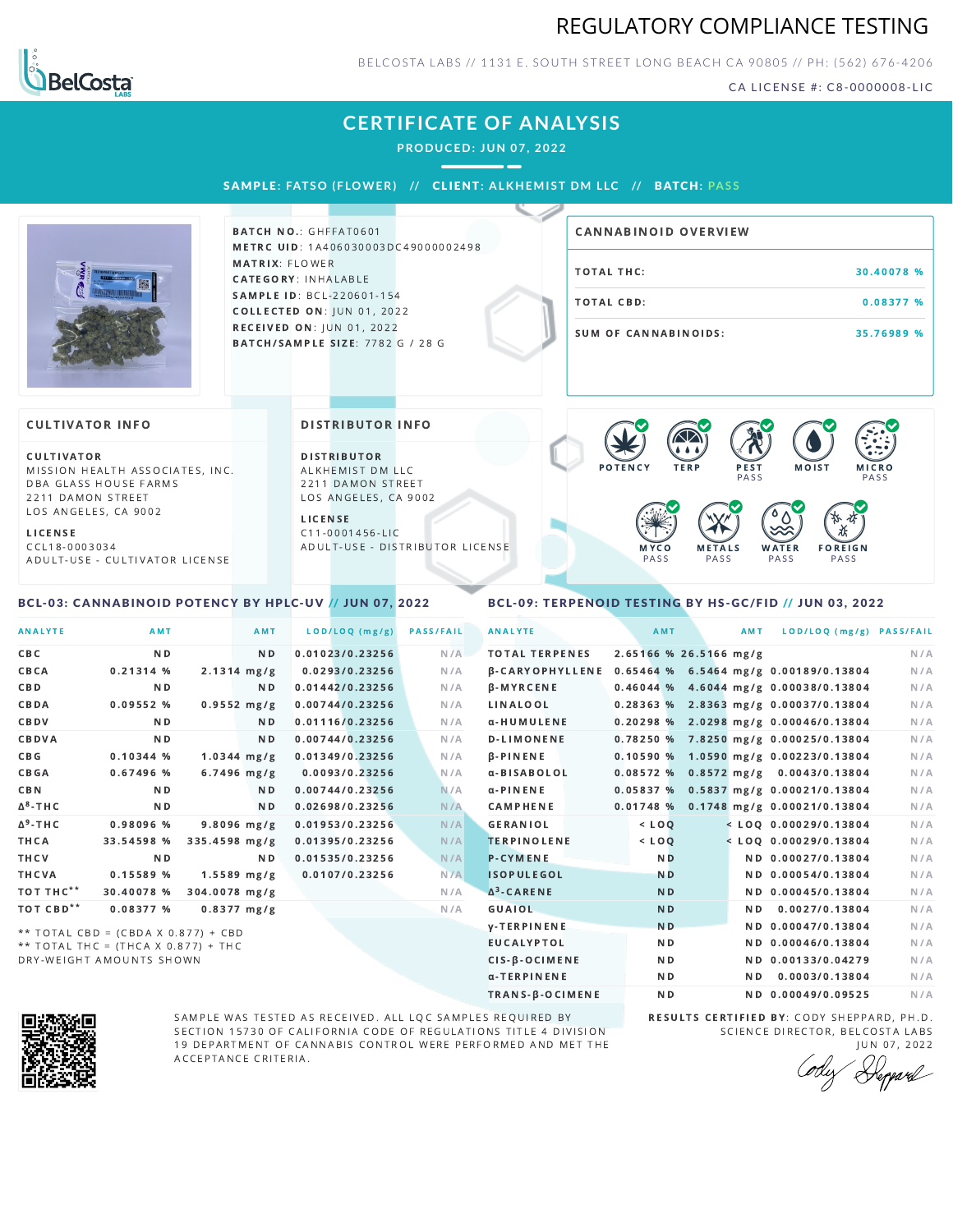



BELCOSTA LABS // 1131 E. SOUTH STREET LONG BEACH C A 90805 // PH: (562) 676-4206

CA LICENSE #: C8-0000008-LIC

# **CERTIFICATE OF ANALYSIS**

**PRODUCED: JUN 07, 2022**

SAMPL E **: FATSO ( F LOWER) //** CL I ENT**: A LKHEMI ST DM L LC //** BATCH**: PA S S**



BATCH NO.: GHFFAT0601 METRC UID: 1A406030003DC49000002498 MATRIX: FLOWER CATEGORY: INHALABLE SAMPLE ID: BCL-220601-154 **COLLECTED ON: JUN 01, 2022** RECEIVED ON: JUN 01, 2022 BATCH/SAMPLE SIZE: 7782 G / 28 G

# TOTAL THC: 30.40078 % TOTAL CBD: 0.08377 % SUM OF CANNABINOIDS: 35.76989 % CANNABINOID OVERVIEW

#### **CULTIVATOR INFO**

CULTIVATOR MISSION HEALTH ASSOCIATES, INC. DBA GLASS HOUSE FARMS 2211 DAMON STREET LOS ANGELES, CA 9002

L I C E N S E

C C L 1 8 - 0 0 0 3 0 3 4 A D U L T - U S E - C U L T I V A T O R L I CENSE

<span id="page-0-0"></span>BCL-03: CANNABINOID POTENCY BY HPLC-UV // JUN 07, 2022

#### DISTRIBUTOR INFO

D I STRIBUTOR ALKHEMIST DM LLC 2211 DAMON STREET LOS ANGELES, CA 9002

L I C E N S E C 1 1 - 0 0 0 1 4 5 6 - L I C A D U L T - U S E - D I STRIBUTOR LICENSE



### <span id="page-0-1"></span>BCL-09: TERPENOID TESTING BY HS-GC/FID // JUN 03, 2022

| <b>ANALYTE</b>      | AMT                                 |                         | AMT            | LOD/LOQ (mg/g)  | <b>PASS/FAIL</b> | <b>ANALYTE</b>         | AMT                    | AMT | LOD/LOQ (mg/g) PASS/FAIL                |     |
|---------------------|-------------------------------------|-------------------------|----------------|-----------------|------------------|------------------------|------------------------|-----|-----------------------------------------|-----|
| C B C               | N <sub>D</sub>                      |                         | N <sub>D</sub> | 0.01023/0.23256 | N/A              | <b>TOTAL TERPENES</b>  | 2.65166 % 26.5166 mg/g |     |                                         | N/A |
| CBCA                | 0.21314%                            | $2.1314 \, \text{mg/g}$ |                | 0.0293/0.23256  | N/A              | <b>B-CARYOPHYLLENE</b> |                        |     | 0.65464 % 6.5464 mg/g 0.00189/0.13804   | N/A |
| C B D               | N <sub>D</sub>                      |                         | ND.            | 0.01442/0.23256 | N/A              | β-MYRCENE              |                        |     | $0.46044$ % 4.6044 mg/g 0.00038/0.13804 | N/A |
| CBDA                | 0.09552 %                           | $0.9552$ mg/g           |                | 0.00744/0.23256 | N/A              | LINALOOL               |                        |     | $0.28363$ % 2.8363 mg/g 0.00037/0.13804 | N/A |
| CBDV                | ND.                                 |                         | N D            | 0.01116/0.23256 | N/A              | α-HUMULENE             |                        |     | $0.20298$ % 2.0298 mg/g 0.00046/0.13804 | N/A |
| CBDVA               | N <sub>D</sub>                      |                         | N <sub>D</sub> | 0.00744/0.23256 | N/A              | D-LIMONENE             |                        |     | 0.78250 % 7.8250 mg/g 0.00025/0.13804   | N/A |
| C B G               | 0.10344%                            | $1.0344$ mg/g           |                | 0.01349/0.23256 | N/A              | $\beta$ -PINENE        |                        |     | $0.10590\%$ 1.0590 mg/g 0.00223/0.13804 | N/A |
| CBGA                | 0.67496 %                           | $6.7496$ mg/g           |                | 0.0093/0.23256  | N/A              | α-BISABOLOL            |                        |     | $0.08572$ % 0.8572 mg/g 0.0043/0.13804  | N/A |
| <b>CBN</b>          | ND.                                 |                         | ND.            | 0.00744/0.23256 | N/A              | $\alpha$ -PINENE       |                        |     | $0.05837%$ 0.5837 mg/g 0.00021/0.13804  | N/A |
| ∆ <sup>8</sup> -THC | N <sub>D</sub>                      |                         | N <sub>D</sub> | 0.02698/0.23256 | N/A              | <b>CAMPHENE</b>        |                        |     | $0.01748$ % 0.1748 mg/g 0.00021/0.13804 | N/A |
| ∆ <sup>9</sup> -THC | 0.98096 %                           | $9.8096$ mg/g           |                | 0.01953/0.23256 | N/A              | <b>GERANIOL</b>        | $<$ LOQ                |     | $<$ LOO 0.00029/0.13804                 | N/A |
| ТНСА                | 33.54598 %                          | 335.4598 mg/g           |                | 0.01395/0.23256 | N/A              | <b>TERPINOLENE</b>     | $<$ LOQ                |     | $<$ LOQ 0.00029/0.13804                 | N/A |
| THCV                | ND.                                 |                         | ND.            | 0.01535/0.23256 | N/A              | <b>P-CYMENE</b>        | N <sub>D</sub>         |     | ND 0.00027/0.13804                      | N/A |
| THCVA               | 0.15589 %                           | $1.5589$ mg/g           |                | 0.0107/0.23256  | N/A              | <b>ISOPULEGOL</b>      | <b>ND</b>              |     | ND 0.00054/0.13804                      | N/A |
| тот тнс**           | 30.40078 %                          | 304.0078 mg/g           |                |                 | N/A              | $\Delta^3$ -CARENE     | <b>ND</b>              |     | ND 0.00045/0.13804                      | N/A |
| тот свр**           | 0.08377 %                           | $0.8377$ mg/g           |                |                 | N/A              | GUAIOL                 | <b>ND</b>              | ND. | 0.0027/0.13804                          | N/A |
|                     | ** TOTAL CBD = (CBDA X 0.877) + CBD |                         |                |                 |                  | <b>V-TERPINENE</b>     | <b>ND</b>              |     | ND 0.00047/0.13804                      | N/A |
|                     | ** TOTAL THC = (THCA X 0.877) + THC |                         |                |                 |                  | <b>EUCALYPTOL</b>      | N <sub>D</sub>         |     | ND 0.00046/0.13804                      | N/A |
|                     |                                     |                         |                |                 |                  |                        |                        |     |                                         |     |

DRY-WEIGHT AMOUNTS SHOWN



SAMPLE WAS TESTED AS RECEIVED. ALL LQC SAMPLES REQUIRED BY SECTION 15730 OF CALIFORNIA CODE OF REGULATIONS TITLE 4 DIVISION 19 DEPARTMENT OF CANNABIS CONTROL WERE PERFORMED AND MET THE A C C E P T A N C E C R I T E R I A.

RESULTS CERTIFIED BY: CODY SHEPPARD, PH.D. SCIENCE DIRECTOR, BELCOSTA LABS

CIS-β-OCIMENE ND ND ND 0.00133/0.04279 N/A α-TERPINENE **ND ND 0.0003/0.13804** N/A TRANS-β-OCIMENE ND ND 0.00049/0.09525 N/A

J U N 0 7 , 2 0 2 2 Depard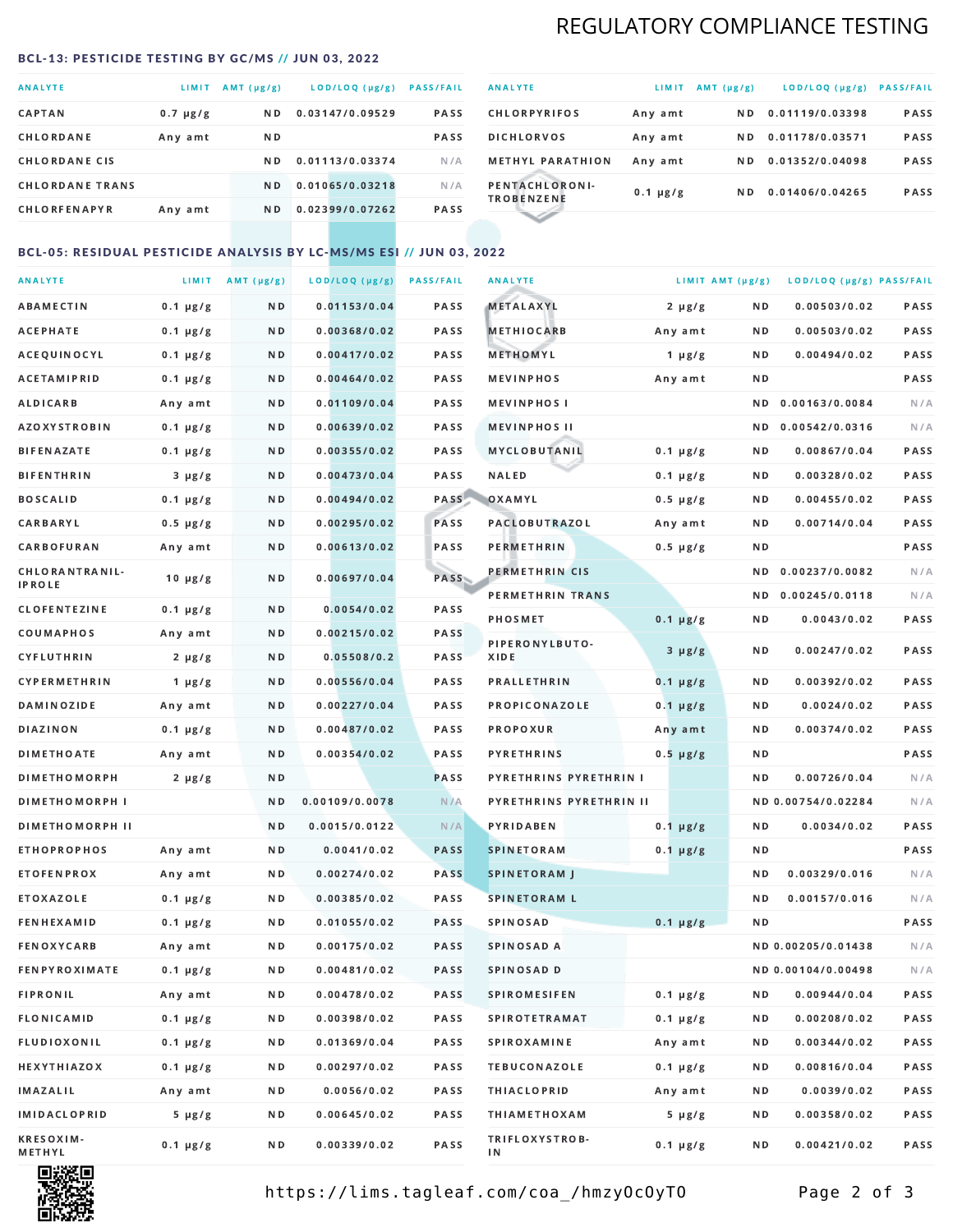# REGULATORY COMPLIANCE TESTING

### <span id="page-1-0"></span>BCL-13: PESTICIDE TESTING BY GC/MS // JUN 03, 2022

| <b>ANALYTE</b>         | <b>LIMIT</b>  | $AMT(\mu g/g)$ | LOD/LOQ (µg/g)  | <b>PASS/FAIL</b> |
|------------------------|---------------|----------------|-----------------|------------------|
| <b>CAPTAN</b>          | $0.7 \mu g/g$ | N <sub>D</sub> | 0.03147/0.09529 | <b>PASS</b>      |
| CHLORDANE              | Any amt       | ND.            |                 | <b>PASS</b>      |
| <b>CHLORDANE CIS</b>   |               | ND.            | 0.01113/0.03374 | N/A              |
| <b>CHLORDANE TRANS</b> |               | N <sub>D</sub> | 0.01065/0.03218 | N/A              |
| <b>CHLORFENAPYR</b>    | Any amt       | N D            | 0.02399/0.07262 | <b>PASS</b>      |

| <b>ANALYTE</b>                      | LIMIT         | $AMT(\mu g/g)$ | LOD/LOQ (µg/g)  | <b>PASS/FAIL</b> |
|-------------------------------------|---------------|----------------|-----------------|------------------|
| <b>CHLORPYRIFOS</b>                 | Any amt       | N D            | 0.01119/0.03398 | <b>PASS</b>      |
| <b>DICHLORVOS</b>                   | Any amt       | N D.           | 0.01178/0.03571 | PASS             |
| <b>METHYL PARATHION</b>             | Any amt       | ND.            | 0.01352/0.04098 | <b>PASS</b>      |
| PENTACHLORONI-<br><b>TROBENZENE</b> | $0.1 \mu g/g$ | ND.            | 0.01406/0.04265 | <b>PASS</b>      |
|                                     |               |                |                 |                  |

### BCL-05: RESIDUAL PESTICIDE ANALYSIS BY LC-MS/MS ESI // JUN 03, 2022

| <b>ANALYTE</b>             |               | LIMIT $AMT (\mu g/g)$ | LOD/LOQ (µg/g) | <b>PASS/FAIL</b> | <b>ANALYTE</b>          | LIMIT AMT (µg/g) |     | LOD/LOQ (µg/g) PASS/FAIL |      |
|----------------------------|---------------|-----------------------|----------------|------------------|-------------------------|------------------|-----|--------------------------|------|
| <b>ABAMECTIN</b>           | $0.1 \mu g/g$ | N D                   | 0.01153/0.04   | PASS             | <b>METALAXYL</b>        | $2 \mu g/g$      | N D | 0.00503/0.02             | PASS |
| <b>ACEPHATE</b>            | $0.1 \mu g/g$ | N D                   | 0.00368/0.02   | PASS             | <b>METHIOCARB</b>       | Any amt          | N D | 0.00503/0.02             | PASS |
| ACEQUINOCYL                | $0.1 \mu g/g$ | N D                   | 0.00417/0.02   | PASS             | METHOMYL                | 1 $\mu$ g/g      | N D | 0.00494/0.02             | PASS |
| <b>ACETAMIPRID</b>         | $0.1 \mu g/g$ | N D                   | 0.00464/0.02   | PASS             | <b>MEVINPHOS</b>        | Any amt          | N D |                          | PASS |
| ALDICARB                   | Any amt       | N D                   | 0.01109/0.04   | <b>PASS</b>      | <b>MEVINPHOSI</b>       |                  | ND. | 0.00163/0.0084           | N/A  |
| <b>AZOXYSTROBIN</b>        | $0.1 \mu g/g$ | N D                   | 0.00639/0.02   | <b>PASS</b>      | <b>MEVINPHOS II</b>     |                  | N D | 0.00542/0.0316           | N/A  |
| <b>BIFENAZATE</b>          | $0.1 \mu g/g$ | N D                   | 0.00355/0.02   | PASS             | MYCLOBUTANIL            | $0.1 \mu g/g$    | N D | 0.00867/0.04             | PASS |
| <b>BIFENTHRIN</b>          | $3 \mu g/g$   | N D                   | 0.00473/0.04   | PASS             | <b>NALED</b>            | $0.1 \mu g/g$    | N D | 0.00328/0.02             | PASS |
| <b>BOSCALID</b>            | $0.1 \mu g/g$ | N D                   | 0.00494/0.02   | PASS             | OXAMYL                  | $0.5 \mu g/g$    | N D | 0.00455/0.02             | PASS |
| <b>CARBARYL</b>            | $0.5 \mu g/g$ | N D                   | 0.00295/0.02   | PASS             | <b>PACLOBUTRAZOL</b>    | Any amt          | N D | 0.00714/0.04             | PASS |
| CARBOFURAN                 | Any amt       | N D                   | 0.00613/0.02   | PASS             | PERMETHRIN              | $0.5 \mu g/g$    | N D |                          | PASS |
| CHLORANTRANIL-             | $10 \mu g/g$  | N D                   | 0.00697/0.04   | <b>PASS</b>      | PERMETHRIN CIS          |                  | ND. | 0.00237/0.0082           | N/A  |
| <b>IPROLE</b>              |               |                       |                |                  | PERMETHRIN TRANS        |                  |     | ND 0.00245/0.0118        | N/A  |
| <b>CLOFENTEZINE</b>        | $0.1 \mu g/g$ | N D                   | 0.0054/0.02    | PASS             | <b>PHOSMET</b>          | $0.1 \mu g/g$    | N D | 0.0043/0.02              | PASS |
| COUMAPHOS                  | Any amt       | N D                   | 0.00215/0.02   | <b>PASS</b>      | PIPERONYLBUTO-          | $3 \mu g/g$      | N D | 0.00247/0.02             | PASS |
| CYFLUTHRIN                 | $2 \mu g/g$   | N D                   | 0.05508/0.2    | <b>PASS</b>      | XIDE                    |                  |     |                          |      |
| <b>CYPERMETHRIN</b>        | $1 \mu g/g$   | N D                   | 0.00556/0.04   | PASS             | <b>PRALLETHRIN</b>      | $0.1 \mu g/g$    | N D | 0.00392/0.02             | PASS |
| <b>DAMINOZIDE</b>          | Any amt       | N D                   | 0.00227/0.04   | PASS             | PROPICONAZOLE           | $0.1 \mu g/g$    | N D | 0.0024/0.02              | PASS |
| DIAZINON                   | $0.1 \mu g/g$ | N D                   | 0.00487/0.02   | PASS             | <b>PROPOXUR</b>         | Any amt          | N D | 0.00374/0.02             | PASS |
| <b>DIMETHOATE</b>          | Any amt       | N D                   | 0.00354/0.02   | PASS             | <b>PYRETHRINS</b>       | $0.5 \mu g/g$    | N D |                          | PASS |
| <b>DIMETHOMORPH</b>        | $2 \mu g/g$   | N D                   |                | PASS             | PYRETHRINS PYRETHRIN I  |                  | N D | 0.00726/0.04             | N/A  |
| <b>DIMETHOMORPH I</b>      |               | N D                   | 0.00109/0.0078 | N/A              | PYRETHRINS PYRETHRIN II |                  |     | ND 0.00754/0.02284       | N/A  |
| <b>DIMETHOMORPH II</b>     |               | ND.                   | 0.0015/0.0122  | N/A              | PYRIDABEN               | $0.1 \mu g/g$    | N D | 0.0034/0.02              | PASS |
| ETHOPROPHOS                | Any amt       | N D                   | 0.0041/0.02    | <b>PASS</b>      | <b>SPINETORAM</b>       | $0.1 \mu g/g$    | N D |                          | PASS |
| <b>ETOFENPROX</b>          | Any amt       | N D                   | 0.00274/0.02   | <b>PASS</b>      | <b>SPINETORAM J</b>     |                  | N D | 0.00329/0.016            | N/A  |
| <b>ETOXAZOLE</b>           | $0.1 \mu g/g$ | N D                   | 0.00385/0.02   | <b>PASS</b>      | <b>SPINETORAM L</b>     |                  | ND. | 0.00157/0.016            | N/A  |
| <b>FENHEXAMID</b>          | $0.1 \mu g/g$ | N D                   | 0.01055/0.02   | <b>PASS</b>      | SPINOSAD                | $0.1 \mu g/g$    | N D |                          | PASS |
| <b>FENOXYCARB</b>          | Any amt       | N D                   | 0.00175/0.02   | <b>PASS</b>      | SPINOSAD A              |                  |     | ND 0.00205/0.01438       | N/A  |
| <b>FENPYROXIMATE</b>       | $0.1 \mu g/g$ | N D                   | 0.00481/0.02   | PASS             | SPINOSAD D              |                  |     | ND 0.00104/0.00498       | N/A  |
| <b>FIPRONIL</b>            | Any amt       | N D                   | 0.00478/0.02   | PASS             | <b>SPIROMESIFEN</b>     | $0.1 \mu g/g$    | ND. | 0.00944/0.04             | PASS |
| FLONICAMID                 | $0.1 \mu g/g$ | N D                   | 0.00398/0.02   | PASS             | <b>SPIROTETRAMAT</b>    | $0.1 \mu g/g$    | N D | 0.00208/0.02             | PASS |
| FLUDIOXONIL                | $0.1 \mu g/g$ | N D                   | 0.01369/0.04   | PASS             | SPIROXAMINE             | Any amt          | N D | 0.00344/0.02             | PASS |
| <b>HEXYTHIAZOX</b>         | $0.1 \mu g/g$ | N D                   | 0.00297/0.02   | PASS             | <b>TEBUCONAZOLE</b>     | $0.1 \mu g/g$    | N D | 0.00816/0.04             | PASS |
| IMAZALIL                   | Any amt       | N D                   | 0.0056/0.02    | PASS             | <b>THIACLOPRID</b>      | Any amt          | N D | 0.0039/0.02              | PASS |
| <b>IMIDACLOPRID</b>        | $5 \mu g/g$   | N D                   | 0.00645/0.02   | PASS             | <b>THIAMETHOXAM</b>     | $5 \mu g/g$      | N D | 0.00358/0.02             | PASS |
| <b>KRESOXIM-</b><br>METHYL | $0.1 \mu g/g$ | N D                   | 0.00339/0.02   | PASS             | TRIFLOXYSTROB-<br>ΙN    | $0.1 \mu g/g$    | N D | 0.00421/0.02             | PASS |